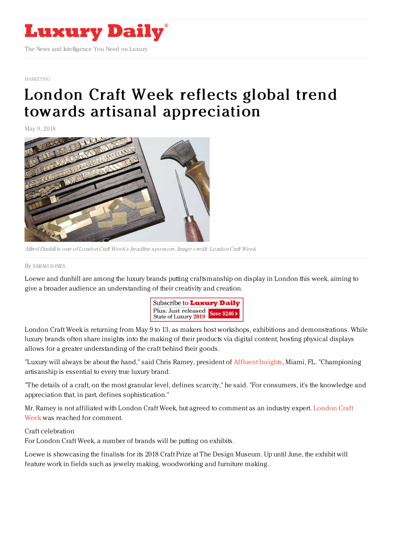

## [MARKETING](https://www.luxurydaily.com/category/sectors/marketing-industry-sectors/)

## London Craft Week reflects global trend towards artisanal [appreciation](https://www.luxurydaily.com/london-craft-week-reflects-global-trend-towards-artisanal-appreciation/)

May 9, 2018



Alfred Dunhill is one of LondonCraft Week's headline sponsors. Image credit: LondonCraft Week

By [SARAH](file:///author/sarah-jones) JONES

Loewe and dunhill are among the luxury brands putting craftsmanship on display in London this week, aiming to give a broader audience an understanding of their creativity and creation.



London Craft Week is returning from May 9 to 13, as makers host workshops, exhibitions and demonstrations. While luxury brands often share insights into the making of their products via digital content, hosting physical displays allows for a greater understanding of the craft behind their goods.

"Luxury will always be about the hand," said Chris Ramey, president of [Affluent](http://www.affluentinsights.com/%25E2%2580%258E) Insights, Miami, FL. "Championing artisanship is essential to every true luxury brand.

"The details of a craft, on the most granular level, defines scarcity," he said. "For consumers, it's the knowledge and appreciation that, in part, defines sophistication."

Mr. Ramey is not affiliated with London Craft Week, but agreed to [comment](http://www.londoncraftweek.com/) as an industry expert. London Craft Week was reached for comment.

## Craft celebration

For London Craft Week, a number of brands will be putting on exhibits.

Loewe is showcasing the finalists for its 2018 Craft Prize at The Design Museum. Up until June, the exhibit will feature work in fields such as jewelry making, woodworking and furniture making.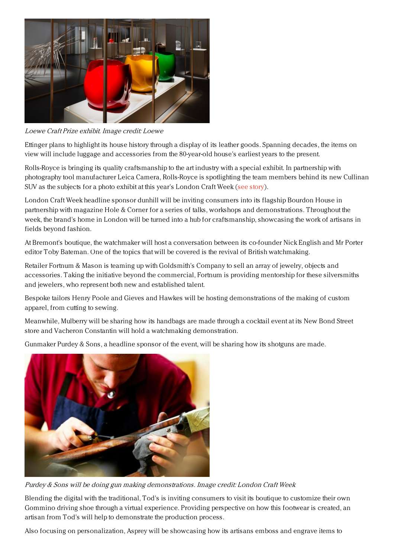

Loewe Craft Prize exhibit. Image credit: Loewe

Ettinger plans to highlight its house history through a display of its leather goods. Spanning decades, the items on view will include luggage and accessories from the 80-year-old house's earliest years to the present.

Rolls-Royce is bringing its quality craftsmanship to the art industry with a special exhibit. In partnership with photography tool manufacturer Leica Camera, Rolls-Royce is spotlighting the team members behind its new Cullinan SUV as the subjects for a photo exhibit at this year's London Craft Week (see [story](https://www.luxurydaily.com/rolls-royce-merges-art-and-craftsmanship/)).

London Craft Week headline sponsor dunhill will be inviting consumers into its flagship Bourdon House in partnership with magazine Hole & Corner for a series of talks, workshops and demonstrations. Throughout the week, the brand's home in London will be turned into a hub for craftsmanship, showcasing the work of artisans in fields beyond fashion.

At Bremont's boutique, the watchmaker will host a conversation between its co-founder Nick English and Mr Porter editor Toby Bateman. One of the topics that will be covered is the revival of British watchmaking.

Retailer Fortnum & Mason is teaming up with Goldsmith's Company to sell an array of jewelry, objects and accessories. Taking the initiative beyond the commercial, Fortnum is providing mentorship for these silversmiths and jewelers, who represent both new and established talent.

Bespoke tailors Henry Poole and Gieves and Hawkes will be hosting demonstrations of the making of custom apparel, from cutting to sewing.

Meanwhile, Mulberry will be sharing how its handbags are made through a cocktail event at its New Bond Street store and Vacheron Constantin will hold a watchmaking demonstration.

Gunmaker Purdey & Sons, a headline sponsor of the event, will be sharing how its shotguns are made.



Purdey & Sons will be doing gun making demonstrations. Image credit: London Craft Week

Blending the digital with the traditional, Tod's is inviting consumers to visit its boutique to customize their own Gommino driving shoe through a virtual experience. Providing perspective on how this footwear is created, an artisan from Tod's will help to demonstrate the production process.

Also focusing on personalization, Asprey will be showcasing how its artisans emboss and engrave items to